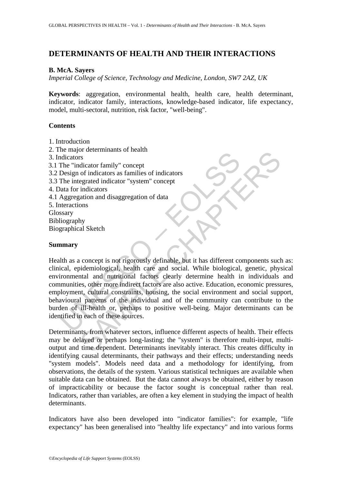# **DETERMINANTS OF HEALTH AND THEIR INTERACTIONS**

### **B. McA. Sayers**

*Imperial College of Science, Technology and Medicine, London, SW7 2AZ, UK* 

**Keywords**: aggregation, environmental health, health care, health determinant, indicator, indicator family, interactions, knowledge-based indicator, life expectancy, model, multi-sectoral, nutrition, risk factor, "well-being".

### **Contents**

- 1. Introduction
- 2. The major determinants of health
- 3. Indicators
- 3.1 The "indicator family" concept
- 3.2 Design of indicators as families of indicators
- 3.3 The integrated indicator "system" concept
- 4. Data for indicators
- 4.1 Aggregation and disaggregation of data
- 5. Interactions Glossary
- Bibliography Biographical Sketch

### **Summary**

Incometrical<br>
indicators<br>
The "indicator family" concept<br>
Design of indicators as families of indicators<br>
The integrated indicator "system" concept<br>
tata for indicators<br>
tata for indicators<br>
tata for indicators<br>
stary<br>
lio of cucclimials of nearly<br>
ors<br>
of dicator family" concept<br>
of indicators as families of indicators<br>
indicators as families of indicators<br>
indicators<br>
indicators<br>
atation and disaggregation of data<br>
ons<br>
hy<br>
al Sketch<br>
ons<br> Health as a concept is not rigorously definable, but it has different components such as: clinical, epidemiological, health care and social. While biological, genetic, physical environmental and nutritional factors clearly determine health in individuals and communities, other more indirect factors are also active. Education, economic pressures, employment, cultural constraints, housing, the social environment and social support, behavioural patterns of the individual and of the community can contribute to the burden of ill-health or, perhaps to positive well-being. Major determinants can be identified in each of these sources.

Determinants, from whatever sectors, influence different aspects of health. Their effects may be delayed or perhaps long-lasting; the "system" is therefore multi-input, multioutput and time dependent. Determinants inevitably interact. This creates difficulty in identifying causal determinants, their pathways and their effects; understanding needs "system models". Models need data and a methodology for identifying, from observations, the details of the system. Various statistical techniques are available when suitable data can be obtained. But the data cannot always be obtained, either by reason of impracticability or because the factor sought is conceptual rather than real. Indicators, rather than variables, are often a key element in studying the impact of health determinants.

Indicators have also been developed into "indicator families": for example, "life expectancy" has been generalised into "healthy life expectancy" and into various forms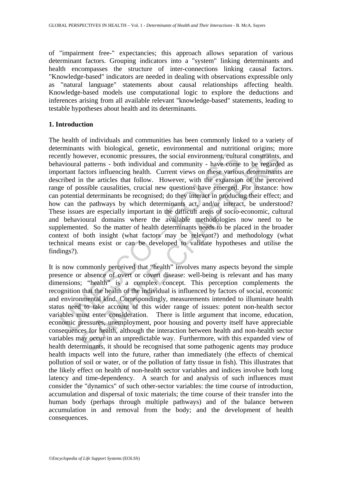of "impairment free-" expectancies; this approach allows separation of various determinant factors. Grouping indicators into a "system" linking determinants and health encompasses the structure of inter-connections linking causal factors. "Knowledge-based" indicators are needed in dealing with observations expressible only as "natural language" statements about causal relationships affecting health. Knowledge-based models use computational logic to explore the deductions and inferences arising from all available relevant "knowledge-based" statements, leading to testable hypotheses about health and its determinants.

## **1. Introduction**

muly however, economic pressures, the social environment, culture avious and community - have come ortant factors influencing health. Current views on these various corribed in the articles that follow. However, with the e wwever, economic pressures, the social environment, cultural constraints, a patterns - both individual and community - have come to be regarded fractors influencial health. Current views on these various determinants in th The health of individuals and communities has been commonly linked to a variety of determinants with biological, genetic, environmental and nutritional origins; more recently however, economic pressures, the social environment, cultural constraints, and behavioural patterns - both individual and community - have come to be regarded as important factors influencing health. Current views on these various determinants are described in the articles that follow. However, with the expansion of the perceived range of possible causalities, crucial new questions have emerged. For instance: how can potential determinants be recognised; do they interact in producing their effect; and how can the pathways by which determinants act, and/or interact, be understood? These issues are especially important in the difficult areas of socio-economic, cultural and behavioural domains where the available methodologies now need to be supplemented. So the matter of health determinants needs to be placed in the broader context of both insight (what factors may be relevant?) and methodology (what technical means exist or can be developed to validate hypotheses and utilise the findings?).

It is now commonly perceived that "health" involves many aspects beyond the simple presence or absence of overt or covert disease: well-being is relevant and has many dimensions; "health" is a complex concept. This perception complements the recognition that the health of the individual is influenced by factors of social, economic and environmental kind. Correspondingly, measurements intended to illuminate health status need to take account of this wider range of issues: potent non-health sector variables must enter consideration. There is little argument that income, education, economic pressures, unemployment, poor housing and poverty itself have appreciable consequences for health, although the interaction between health and non-health sector variables may occur in an unpredictable way. Furthermore, with this expanded view of health determinants, it should be recognised that some pathogenic agents may produce health impacts well into the future, rather than immediately (the effects of chemical pollution of soil or water, or of the pollution of fatty tissue in fish). This illustrates that the likely effect on health of non-health sector variables and indices involve both long latency and time-dependency. A search for and analysis of such influences must consider the "dynamics" of such other-sector variables: the time course of introduction, accumulation and dispersal of toxic materials; the time course of their transfer into the human body (perhaps through multiple pathways) and of the balance between accumulation in and removal from the body; and the development of health consequences.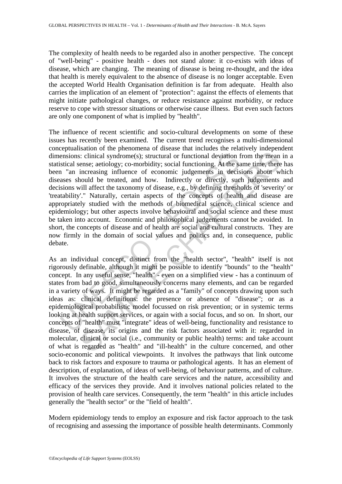The complexity of health needs to be regarded also in another perspective. The concept of "well-being" - positive health - does not stand alone: it co-exists with ideas of disease, which are changing. The meaning of disease is being re-thought, and the idea that health is merely equivalent to the absence of disease is no longer acceptable. Even the accepted World Health Organisation definition is far from adequate. Health also carries the implication of an element of "protection": against the effects of elements that might initiate pathological changes, or reduce resistance against morbidity, or reduce reserve to cope with stressor situations or otherwise cause illness. But even such factors are only one component of what is implied by "health".

ensions: clinical syndrome(s); structural or functional deviation f<br>stical sense; aetiology; co-morbidity; social functioning. At the sa<br>
1 "an increasing influence of economic judgements in decis<br>
asses should be treated, The influence of recent scientific and socio-cultural developments on some of these issues has recently been examined. The current trend recognises a multi-dimensional conceptualisation of the phenomena of disease that includes the relatively independent dimensions: clinical syndrome(s); structural or functional deviation from the mean in a statistical sense; aetiology; co-morbidity; social functioning. At the same time, there has been "an increasing influence of economic judgements in decisions about which diseases should be treated, and how. Indirectly or directly, such judgements and decisions will affect the taxonomy of disease, e.g., by defining thresholds of 'severity' or 'treatability'." Naturally, certain aspects of the concepts of health and disease are appropriately studied with the methods of biomedical science, clinical science and epidemiology; but other aspects involve behavioural and social science and these must be taken into account. Economic and philosophical judgements cannot be avoided. In short, the concepts of disease and of health are social and cultural constructs. They are now firmly in the domain of social values and politics and, in consequence, public debate.

s: clinical syndrome(s); structural or functional deviation from the mean<br>ense; actiology; co-morbidity; social functioning. At the same time, there<br>increasing influence of economic judgements in decisions about w<br>nould be As an individual concept, distinct from the "health sector", "health" itself is not rigorously definable, although it might be possible to identify "bounds" to the "health" concept. In any useful sense, "health" - even on a simplified view - has a continuum of states from bad to good, simultaneously concerns many elements, and can be regarded in a variety of ways. It might be regarded as a "family" of concepts drawing upon such ideas as: clinical definitions: the presence or absence of "disease"; or as a epidemiological probabilistic model focussed on risk prevention; or in systemic terms looking at health support services, or again with a social focus, and so on. In short, our concepts of "health" must "integrate" ideas of well-being, functionality and resistance to disease, of disease, its origins and the risk factors associated with it: regarded in molecular, clinical or social (i.e., community or public health) terms: and take account of what is regarded as "health" and "ill-health" in the culture concerned, and other socio-economic and political viewpoints. It involves the pathways that link outcome back to risk factors and exposure to trauma or pathological agents. It has an element of description, of explanation, of ideas of well-being, of behaviour patterns, and of culture. It involves the structure of the health care services and the nature, accessibility and efficacy of the services they provide. And it involves national policies related to the provision of health care services. Consequently, the term "health" in this article includes generally the "health sector" or the "field of health".

Modern epidemiology tends to employ an exposure and risk factor approach to the task of recognising and assessing the importance of possible health determinants. Commonly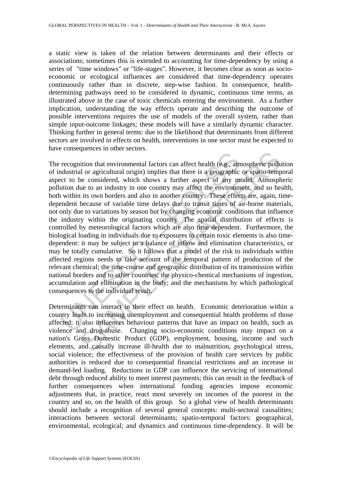a static view is taken of the relation between determinants and their effects or associations; sometimes this is extended to accounting for time-dependency by using a series of "time windows" or "life-stages". However, it becomes clear as soon as socioeconomic or ecological influences are considered that time-dependency operates continuously rather than in discrete, step-wise fashion. In consequence, healthdetermining pathways need to be considered in dynamic, continuous time terms, as illustrated above in the case of toxic chemicals entering the environment. As a further implication, understanding the way effects operate and describing the outcome of possible interventions requires the use of models of the overall system, rather than simple input-outcome linkages; these models will have a similarly dynamic character. Thinking further in general terms: due to the likelihood that determinants from different sectors are involved in effects on health, interventions in one sector must be expected to have consequences in other sectors.

recognition that environmental factors can affect health (e.g., at<br>ndustrial or agricultural origin) implies that there is a geographic<br>cet to be considered, which shows a further aspect of any me<br>ution due to an industry Transmitted factors can affect health (e.g., atmospheric pollulor a pricultural origin) implies that there is a geographic or spatio-temple be considered, which shows a further aspect of any model. Atmospheue to an industr The recognition that environmental factors can affect health (e.g., atmospheric pollution of industrial or agricultural origin) implies that there is a geographic or spatio-temporal aspect to be considered, which shows a further aspect of any model. Atmospheric pollution due to an industry in one country may affect the environment, and so health, both within its own borders and also in another country. These effects are, again, timedependent because of variable time delays due to transit times of air-borne materials, not only due to variations by season but by changing economic conditions that influence the industry within the originating country. The spatial distribution of effects is controlled by meteorological factors which are also time dependent. Furthermore, the biological loading in individuals due to exposures to certain toxic elements is also timedependent: it may be subject to a balance of inflow and elimination characteristics, or may be totally cumulative. So it follows that a model of the risk to individuals within affected regions needs to take account of the temporal pattern of production of the relevant chemical; the time-course and geographic distribution of its transmission within national borders and to other countries; the physico-chemical mechanisms of ingestion, accumulation and elimination in the body; and the mechanisms by which pathological consequences to the individual result.

Determinants can interact in their effect on health. Economic deterioration within a country leads to increasing unemployment and consequential health problems of those affected; it also influences behaviour patterns that have an impact on health, such as violence and drug-abuse. Changing socio-economic conditions may impact on a nation's Gross Domestic Product (GDP), employment, housing, income and such elements, and causally increase ill-health due to malnutrition, psychological stress, social violence; the effectiveness of the provision of health care services by public authorities is reduced due to consequential financial restrictions and an increase in demand-led loading. Reductions in GDP can influence the servicing of international debt through reduced ability to meet interest payments; this can result in the feedback of further consequences when international funding agencies impose economic adjustments that, in practice, react most severely on incomes of the poorest in the country and so, on the health of this group. So a global view of health determinants should include a recognition of several general concepts: multi-sectoral causalities; interactions between sectoral determinants; spatio-temporal factors: geographical, environmental, ecological; and dynamics and continuous time-dependency. It will be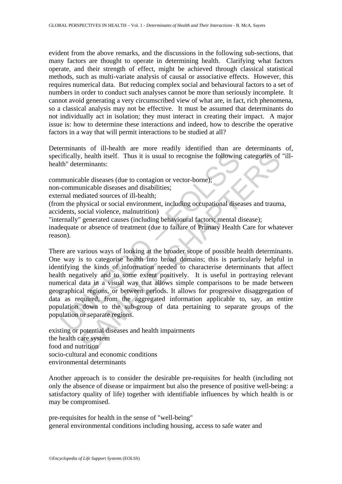evident from the above remarks, and the discussions in the following sub-sections, that many factors are thought to operate in determining health. Clarifying what factors operate, and their strength of effect, might be achieved through classical statistical methods, such as multi-variate analysis of causal or associative effects. However, this requires numerical data. But reducing complex social and behavioural factors to a set of numbers in order to conduct such analyses cannot be more than seriously incomplete. It cannot avoid generating a very circumscribed view of what are, in fact, rich phenomena, so a classical analysis may not be effective. It must be assumed that determinants do not individually act in isolation; they must interact in creating their impact. A major issue is: how to determine these interactions and indeed, how to describe the operative factors in a way that will permit interactions to be studied at all?

Determinants of ill-health are more readily identified than are determinants of, specifically, health itself. Thus it is usual to recognise the following categories of "illhealth" determinants:

communicable diseases (due to contagion or vector-borne);

non-communicable diseases and disabilities;

external mediated sources of ill-health;

(from the physical or social environment, including occupational diseases and trauma, accidents, social violence, malnutrition)

"internally" generated causes (including behavioural factors; mental disease);

inadequate or absence of treatment (due to failure of Primary Health Care for whatever reason).

ifically, health itself. Thus it is usual to recognise the following<br>th" determinants:<br>
municable diseases (due to contagion or vector-borne);<br>
communicable diseases and disabilities;<br>
rmal mediated sources of ill-health;<br> (a) the state of the state of the state of the state of the state of the state of the state of the state of the state of the state of the discusses (due to contagion or vector-borne);<br>
anicable diseases (due to contagion o There are various ways of looking at the broader scope of possible health determinants. One way is to categorise health into broad domains; this is particularly helpful in identifying the kinds of information needed to characterise determinants that affect health negatively and to some extent positively. It is useful in portraying relevant numerical data in a visual way that allows simple comparisons to be made between geographical regions, or between periods. It allows for progressive disaggregation of data as required, from the aggregated information applicable to, say, an entire population down to the sub-group of data pertaining to separate groups of the population or separate regions.

existing or potential diseases and health impairments the health care system food and nutrition socio-cultural and economic conditions environmental determinants

Another approach is to consider the desirable pre-requisites for health (including not only the absence of disease or impairment but also the presence of positive well-being: a satisfactory quality of life) together with identifiable influences by which health is or may be compromised.

pre-requisites for health in the sense of "well-being" general environmental conditions including housing, access to safe water and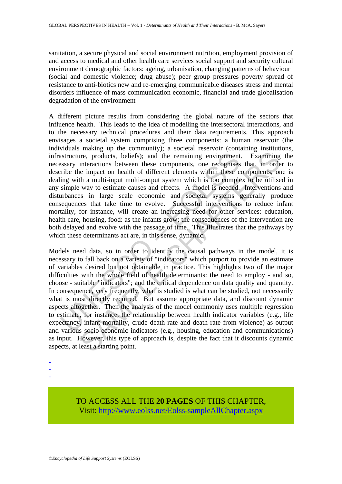sanitation, a secure physical and social environment nutrition, employment provision of and access to medical and other health care services social support and security cultural environment demographic factors: ageing, urbanisation, changing patterns of behaviour (social and domestic violence; drug abuse); peer group pressures poverty spread of resistance to anti-biotics new and re-emerging communicable diseases stress and mental disorders influence of mass communication economic, financial and trade globalisation degradation of the environment

astructure, products, beliefs); and the remaining environment<br>ssarry interactions between these components, one recognises<br>ribe the impact on health of different elements within these c<br>ing with a multi-input multi-output A different picture results from considering the global nature of the sectors that influence health. This leads to the idea of modelling the intersectoral interactions, and to the necessary technical procedures and their data requirements. This approach envisages a societal system comprising three components: a human reservoir (the individuals making up the community); a societal reservoir (containing institutions, infrastructure, products, beliefs); and the remaining environment. Examining the necessary interactions between these components, one recognises that, in order to describe the impact on health of different elements within these components, one is dealing with a multi-input multi-output system which is too complex to be utilised in any simple way to estimate causes and effects. A model is needed. Interventions and disturbances in large scale economic and societal systems generally produce consequences that take time to evolve. Successful interventions to reduce infant mortality, for instance, will create an increasing need for other services: education, health care, housing, food: as the infants grow; the consequences of the intervention are both delayed and evolve with the passage of time. This illustrates that the pathways by which these determinants act are, in this sense, dynamic.

re, products, beliefs); and the remaining environment. Examining interactions between these components, one recognises that, in orde impact on health of different elements within these components, one impact that in orde i Models need data, so in order to identify the causal pathways in the model, it is necessary to fall back on a variety of "indicators" which purport to provide an estimate of variables desired but not obtainable in practice. This highlights two of the major difficulties with the whole field of health determinants: the need to employ - and so, choose - suitable "indicators"; and the critical dependence on data quality and quantity. In consequence, very frequently, what is studied is what can be studied, not necessarily what is most directly required. But assume appropriate data, and discount dynamic aspects altogether. Then the analysis of the model commonly uses multiple regression to estimate, for instance, the relationship between health indicator variables (e.g., life expectancy, infant mortality, crude death rate and death rate from violence) as output and various socio-economic indicators (e.g., housing, education and communications) as input. However, this type of approach is, despite the fact that it discounts dynamic aspects, at least a starting point.

- -
- -

TO ACCESS ALL THE **20 PAGES** OF THIS CHAPTER, Visit[: http://www.eolss.net/Eolss-sampleAllChapter.aspx](https://www.eolss.net/ebooklib/sc_cart.aspx?File=E1-14-01-00)